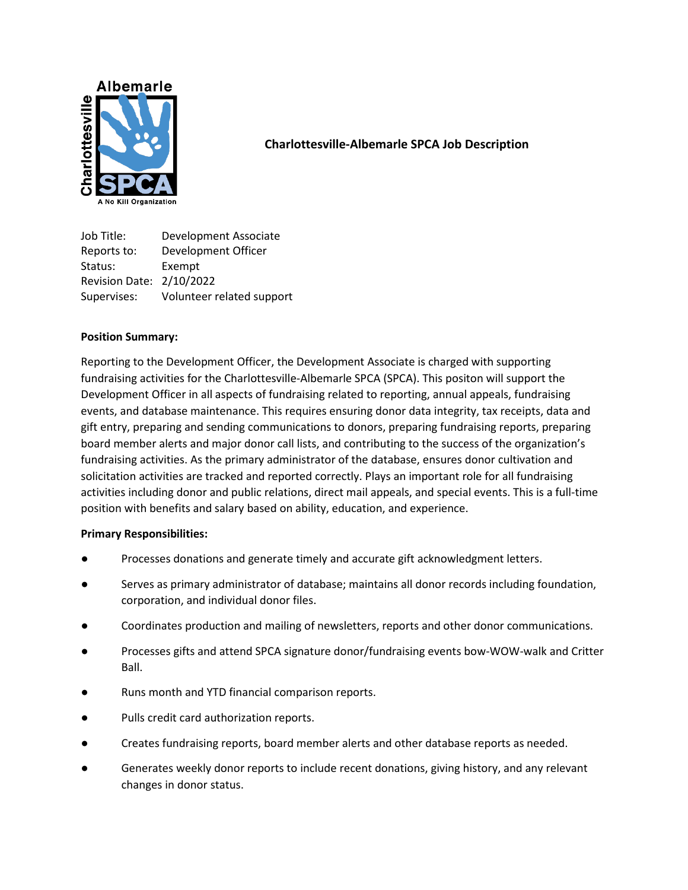

## **Charlottesville-Albemarle SPCA Job Description**

Job Title: Development Associate Reports to: Development Officer Status: Exempt Revision Date: 2/10/2022 Supervises: Volunteer related support

## **Position Summary:**

Reporting to the Development Officer, the Development Associate is charged with supporting fundraising activities for the Charlottesville-Albemarle SPCA (SPCA). This positon will support the Development Officer in all aspects of fundraising related to reporting, annual appeals, fundraising events, and database maintenance. This requires ensuring donor data integrity, tax receipts, data and gift entry, preparing and sending communications to donors, preparing fundraising reports, preparing board member alerts and major donor call lists, and contributing to the success of the organization's fundraising activities. As the primary administrator of the database, ensures donor cultivation and solicitation activities are tracked and reported correctly. Plays an important role for all fundraising activities including donor and public relations, direct mail appeals, and special events. This is a full-time position with benefits and salary based on ability, education, and experience.

## **Primary Responsibilities:**

- Processes donations and generate timely and accurate gift acknowledgment letters.
- Serves as primary administrator of database; maintains all donor records including foundation, corporation, and individual donor files.
- Coordinates production and mailing of newsletters, reports and other donor communications.
- Processes gifts and attend SPCA signature donor/fundraising events bow-WOW-walk and Critter Ball.
- Runs month and YTD financial comparison reports.
- Pulls credit card authorization reports.
- Creates fundraising reports, board member alerts and other database reports as needed.
- Generates weekly donor reports to include recent donations, giving history, and any relevant changes in donor status.